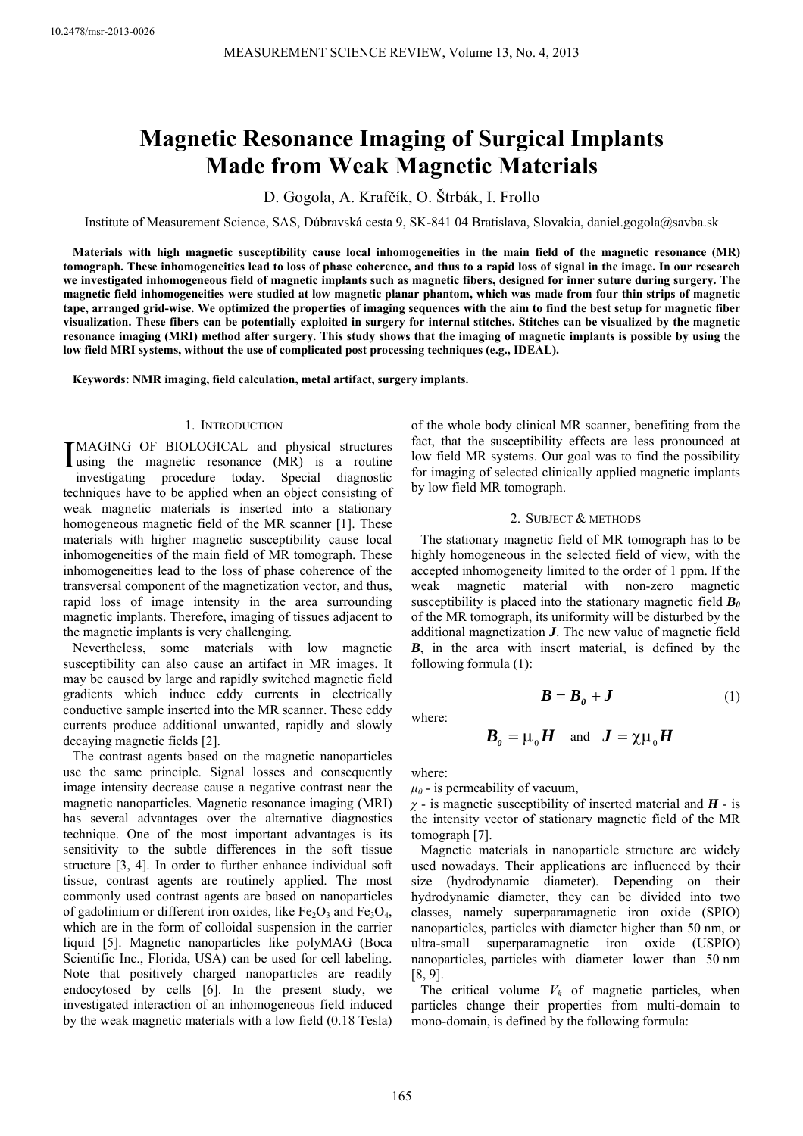# **Magnetic Resonance Imaging of Surgical Implants Made from Weak Magnetic Materials**

D. Gogola, A. Krafčík, O. Štrbák, I. Frollo

Institute of Measurement Science, SAS, Dúbravská cesta 9, SK-841 04 Bratislava, Slovakia, daniel.gogola@savba.sk

**Materials with high magnetic susceptibility cause local inhomogeneities in the main field of the magnetic resonance (MR) tomograph. These inhomogeneities lead to loss of phase coherence, and thus to a rapid loss of signal in the image. In our research we investigated inhomogeneous field of magnetic implants such as magnetic fibers, designed for inner suture during surgery. The magnetic field inhomogeneities were studied at low magnetic planar phantom, which was made from four thin strips of magnetic tape, arranged grid-wise. We optimized the properties of imaging sequences with the aim to find the best setup for magnetic fiber visualization. These fibers can be potentially exploited in surgery for internal stitches. Stitches can be visualized by the magnetic resonance imaging (MRI) method after surgery. This study shows that the imaging of magnetic implants is possible by using the low field MRI systems, without the use of complicated post processing techniques (e.g., IDEAL).** 

**Keywords: NMR imaging, field calculation, metal artifact, surgery implants.** 

## 1. INTRODUCTION

MAGING OF BIOLOGICAL and physical structures IMAGING OF BIOLOGICAL and physical structures<br>
using the magnetic resonance (MR) is a routine investigating procedure today. Special diagnostic techniques have to be applied when an object consisting of weak magnetic materials is inserted into a stationary homogeneous magnetic field of the MR scanner [1]. These materials with higher magnetic susceptibility cause local inhomogeneities of the main field of MR tomograph. These inhomogeneities lead to the loss of phase coherence of the transversal component of the magnetization vector, and thus, rapid loss of image intensity in the area surrounding magnetic implants. Therefore, imaging of tissues adjacent to the magnetic implants is very challenging.

Nevertheless, some materials with low magnetic susceptibility can also cause an artifact in MR images. It may be caused by large and rapidly switched magnetic field gradients which induce eddy currents in electrically conductive sample inserted into the MR scanner. These eddy currents produce additional unwanted, rapidly and slowly decaying magnetic fields [2].

The contrast agents based on the magnetic nanoparticles use the same principle. Signal losses and consequently image intensity decrease cause a negative contrast near the magnetic nanoparticles. Magnetic resonance imaging (MRI) has several advantages over the alternative diagnostics technique. One of the most important advantages is its sensitivity to the subtle differences in the soft tissue structure [3, 4]. In order to further enhance individual soft tissue, contrast agents are routinely applied. The most commonly used contrast agents are based on nanoparticles of gadolinium or different iron oxides, like  $Fe<sub>2</sub>O<sub>3</sub>$  and  $Fe<sub>3</sub>O<sub>4</sub>$ , which are in the form of colloidal suspension in the carrier liquid [5]. Magnetic nanoparticles like polyMAG (Boca Scientific Inc., Florida, USA) can be used for cell labeling. Note that positively charged nanoparticles are readily endocytosed by cells [6]. In the present study, we investigated interaction of an inhomogeneous field induced by the weak magnetic materials with a low field (0.18 Tesla) of the whole body clinical MR scanner, benefiting from the fact, that the susceptibility effects are less pronounced at low field MR systems. Our goal was to find the possibility for imaging of selected clinically applied magnetic implants by low field MR tomograph.

#### 2. SUBJECT & METHODS

The stationary magnetic field of MR tomograph has to be highly homogeneous in the selected field of view, with the accepted inhomogeneity limited to the order of 1 ppm. If the weak magnetic material with non-zero magnetic susceptibility is placed into the stationary magnetic field  $B_0$ of the MR tomograph, its uniformity will be disturbed by the additional magnetization *J*. The new value of magnetic field *B*, in the area with insert material, is defined by the following formula (1):

where:

$$
\boldsymbol{B}_{\boldsymbol{0}} = \boldsymbol{\mu}_{\boldsymbol{0}} \boldsymbol{H} \quad \text{and} \quad \boldsymbol{J} = \boldsymbol{\chi} \boldsymbol{\mu}_{\boldsymbol{0}} \boldsymbol{H}
$$

 $B = B_0 + J$  (1)

where:

 $\mu_0$  - is permeability of vacuum,

*χ* - is magnetic susceptibility of inserted material and *H* - is the intensity vector of stationary magnetic field of the MR tomograph [7].

Magnetic materials in nanoparticle structure are widely used nowadays. Their applications are influenced by their size (hydrodynamic diameter). Depending on their hydrodynamic diameter, they can be divided into two classes, namely superparamagnetic iron oxide (SPIO) nanoparticles, particles with diameter higher than 50 nm, or ultra-small superparamagnetic iron oxide (USPIO) nanoparticles, particles with diameter lower than 50 nm [8, 9].

The critical volume  $V_k$  of magnetic particles, when particles change their properties from multi-domain to mono-domain, is defined by the following formula: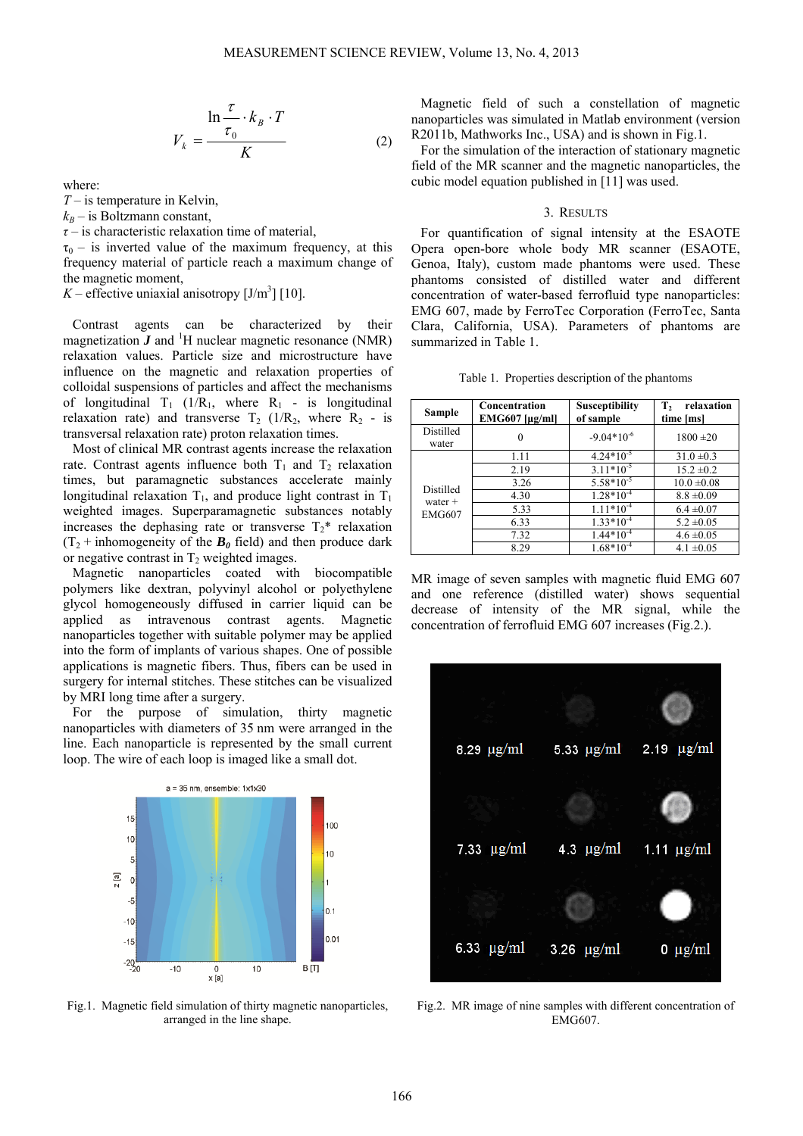$$
V_k = \frac{\ln \frac{\tau}{\tau_0} \cdot k_B \cdot T}{K}
$$
 (2)

where:

*T* – is temperature in Kelvin,

 $k_B$  – is Boltzmann constant,

*τ* – is characteristic relaxation time of material,

 $\tau_0$  – is inverted value of the maximum frequency, at this frequency material of particle reach a maximum change of the magnetic moment,

 $K$  – effective uniaxial anisotropy  $[J/m^3]$  [10].

Contrast agents can be characterized by their magnetization  $\vec{J}$  and <sup>1</sup>H nuclear magnetic resonance (NMR) relaxation values. Particle size and microstructure have influence on the magnetic and relaxation properties of colloidal suspensions of particles and affect the mechanisms of longitudinal  $T_1$  (1/R<sub>1</sub>, where R<sub>1</sub> - is longitudinal relaxation rate) and transverse  $T_2$  (1/R<sub>2</sub>, where R<sub>2</sub> - is transversal relaxation rate) proton relaxation times.

Most of clinical MR contrast agents increase the relaxation rate. Contrast agents influence both  $T_1$  and  $T_2$  relaxation times, but paramagnetic substances accelerate mainly longitudinal relaxation  $T_1$ , and produce light contrast in  $T_1$ weighted images. Superparamagnetic substances notably increases the dephasing rate or transverse  $T_2^*$  relaxation  $(T_2 + inhomogeneity of the ***B***<sub>0</sub> field) and then produce dark$ or negative contrast in  $T_2$  weighted images.

Magnetic nanoparticles coated with biocompatible polymers like dextran, polyvinyl alcohol or polyethylene glycol homogeneously diffused in carrier liquid can be applied as intravenous contrast agents. Magnetic nanoparticles together with suitable polymer may be applied into the form of implants of various shapes. One of possible applications is magnetic fibers. Thus, fibers can be used in surgery for internal stitches. These stitches can be visualized by MRI long time after a surgery.

For the purpose of simulation, thirty magnetic nanoparticles with diameters of 35 nm were arranged in the line. Each nanoparticle is represented by the small current loop. The wire of each loop is imaged like a small dot.



Fig.1. Magnetic field simulation of thirty magnetic nanoparticles, arranged in the line shape.

Magnetic field of such a constellation of magnetic nanoparticles was simulated in Matlab environment (version R2011b, Mathworks Inc., USA) and is shown in Fig.1.

For the simulation of the interaction of stationary magnetic field of the MR scanner and the magnetic nanoparticles, the cubic model equation published in [11] was used.

#### 3. RESULTS

For quantification of signal intensity at the ESAOTE Opera open-bore whole body MR scanner (ESAOTE, Genoa, Italy), custom made phantoms were used. These phantoms consisted of distilled water and different concentration of water-based ferrofluid type nanoparticles: EMG 607, made by FerroTec Corporation (FerroTec, Santa Clara, California, USA). Parameters of phantoms are summarized in Table 1.

Table 1. Properties description of the phantoms

| Sample                                  | Concentration<br>EMG607 [µg/ml] | <b>Susceptibility</b><br>of sample | Т,<br>relaxation<br>time [ms] |
|-----------------------------------------|---------------------------------|------------------------------------|-------------------------------|
| Distilled<br>water                      | 0                               | $-9.04*10^{-6}$                    | $1800 \pm 20$                 |
| Distilled<br>water $+$<br><b>EMG607</b> | 1.11                            | $4.24*10^{-5}$                     | $31.0 \pm 0.3$                |
|                                         | 2.19                            | $3.11*10^{-5}$                     | $15.2 \pm 0.2$                |
|                                         | 3.26                            | $5.58*10^{-5}$                     | $10.0 \pm 0.08$               |
|                                         | 4.30                            | $1.28*10^{-4}$                     | $8.8 \pm 0.09$                |
|                                         | 5.33                            | $1.11*10^{-4}$                     | $6.4 \pm 0.07$                |
|                                         | 6.33                            | $1.33*10^{-4}$                     | $5.2 \pm 0.05$                |
|                                         | 7.32                            | $1.44*10^{-4}$                     | $4.6 \pm 0.05$                |
|                                         | 8.29                            | $1.68*10^{-4}$                     | $4.1 \pm 0.05$                |

MR image of seven samples with magnetic fluid EMG 607 and one reference (distilled water) shows sequential decrease of intensity of the MR signal, while the concentration of ferrofluid EMG 607 increases (Fig.2.).



Fig.2. MR image of nine samples with different concentration of EMG607.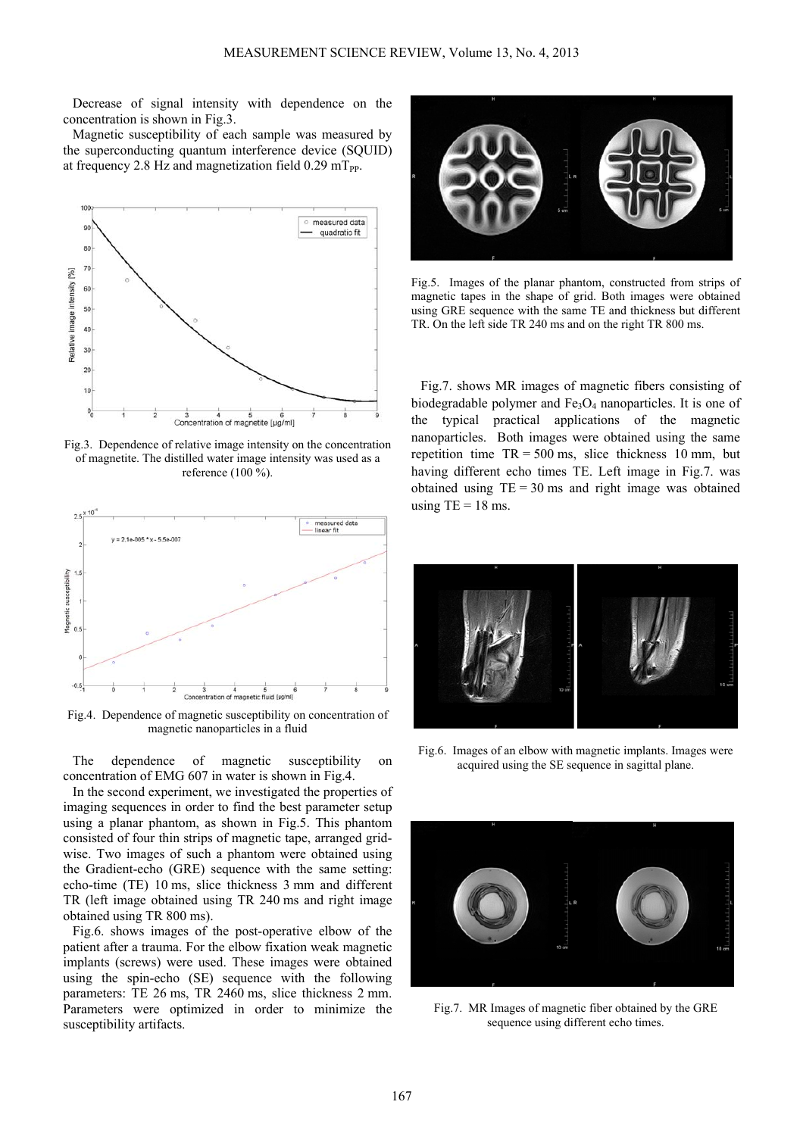Decrease of signal intensity with dependence on the concentration is shown in Fig.3.

Magnetic susceptibility of each sample was measured by the superconducting quantum interference device (SQUID) at frequency 2.8 Hz and magnetization field  $0.29$  mT<sub>pp</sub>.



Fig.3. Dependence of relative image intensity on the concentration of magnetite. The distilled water image intensity was used as a reference (100 %).



Fig.4. Dependence of magnetic susceptibility on concentration of magnetic nanoparticles in a fluid

The dependence of magnetic susceptibility on concentration of EMG 607 in water is shown in Fig.4.

In the second experiment, we investigated the properties of imaging sequences in order to find the best parameter setup using a planar phantom, as shown in Fig.5. This phantom consisted of four thin strips of magnetic tape, arranged gridwise. Two images of such a phantom were obtained using the Gradient-echo (GRE) sequence with the same setting: echo-time (TE) 10 ms, slice thickness 3 mm and different TR (left image obtained using TR 240 ms and right image obtained using TR 800 ms).

Fig.6. shows images of the post-operative elbow of the patient after a trauma. For the elbow fixation weak magnetic implants (screws) were used. These images were obtained using the spin-echo (SE) sequence with the following parameters: TE 26 ms, TR 2460 ms, slice thickness 2 mm. Parameters were optimized in order to minimize the susceptibility artifacts.



Fig.5. Images of the planar phantom, constructed from strips of magnetic tapes in the shape of grid. Both images were obtained using GRE sequence with the same TE and thickness but different TR. On the left side TR 240 ms and on the right TR 800 ms.

Fig.7. shows MR images of magnetic fibers consisting of biodegradable polymer and  $Fe<sub>3</sub>O<sub>4</sub>$  nanoparticles. It is one of the typical practical applications of the magnetic nanoparticles. Both images were obtained using the same repetition time  $TR = 500$  ms, slice thickness 10 mm, but having different echo times TE. Left image in Fig.7. was obtained using  $TE = 30$  ms and right image was obtained using  $TE = 18$  ms.



Fig.6. Images of an elbow with magnetic implants. Images were acquired using the SE sequence in sagittal plane.



Fig.7. MR Images of magnetic fiber obtained by the GRE sequence using different echo times.